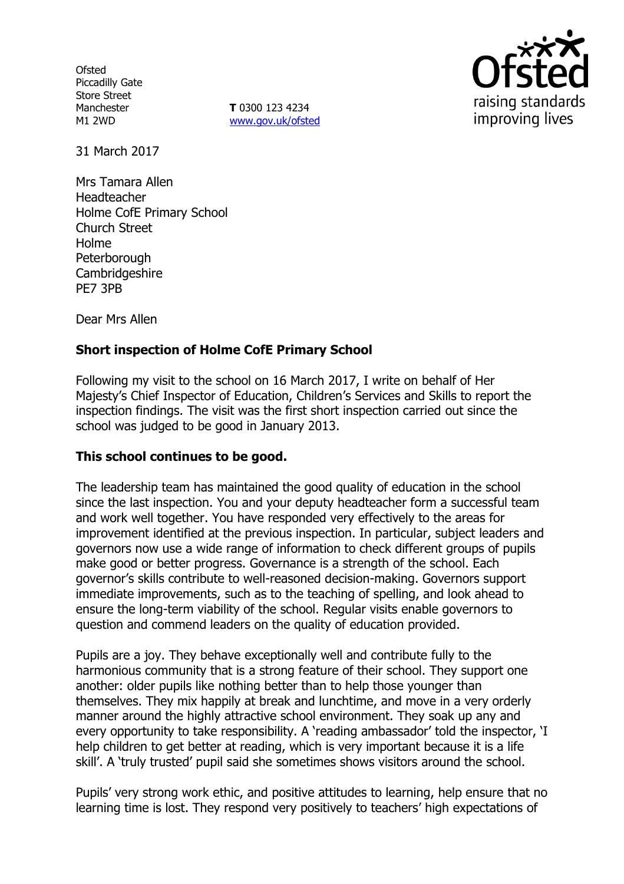**Ofsted** Piccadilly Gate Store Street Manchester M1 2WD

**T** 0300 123 4234 www.gov.uk/ofsted



31 March 2017

Mrs Tamara Allen Headteacher Holme CofE Primary School Church Street Holme **Peterborough** Cambridgeshire PE7 3PB

Dear Mrs Allen

# **Short inspection of Holme CofE Primary School**

Following my visit to the school on 16 March 2017, I write on behalf of Her Majesty's Chief Inspector of Education, Children's Services and Skills to report the inspection findings. The visit was the first short inspection carried out since the school was judged to be good in January 2013.

## **This school continues to be good.**

The leadership team has maintained the good quality of education in the school since the last inspection. You and your deputy headteacher form a successful team and work well together. You have responded very effectively to the areas for improvement identified at the previous inspection. In particular, subject leaders and governors now use a wide range of information to check different groups of pupils make good or better progress. Governance is a strength of the school. Each governor's skills contribute to well-reasoned decision-making. Governors support immediate improvements, such as to the teaching of spelling, and look ahead to ensure the long-term viability of the school. Regular visits enable governors to question and commend leaders on the quality of education provided.

Pupils are a joy. They behave exceptionally well and contribute fully to the harmonious community that is a strong feature of their school. They support one another: older pupils like nothing better than to help those younger than themselves. They mix happily at break and lunchtime, and move in a very orderly manner around the highly attractive school environment. They soak up any and every opportunity to take responsibility. A 'reading ambassador' told the inspector, 'I help children to get better at reading, which is very important because it is a life skill'. A 'truly trusted' pupil said she sometimes shows visitors around the school.

Pupils' very strong work ethic, and positive attitudes to learning, help ensure that no learning time is lost. They respond very positively to teachers' high expectations of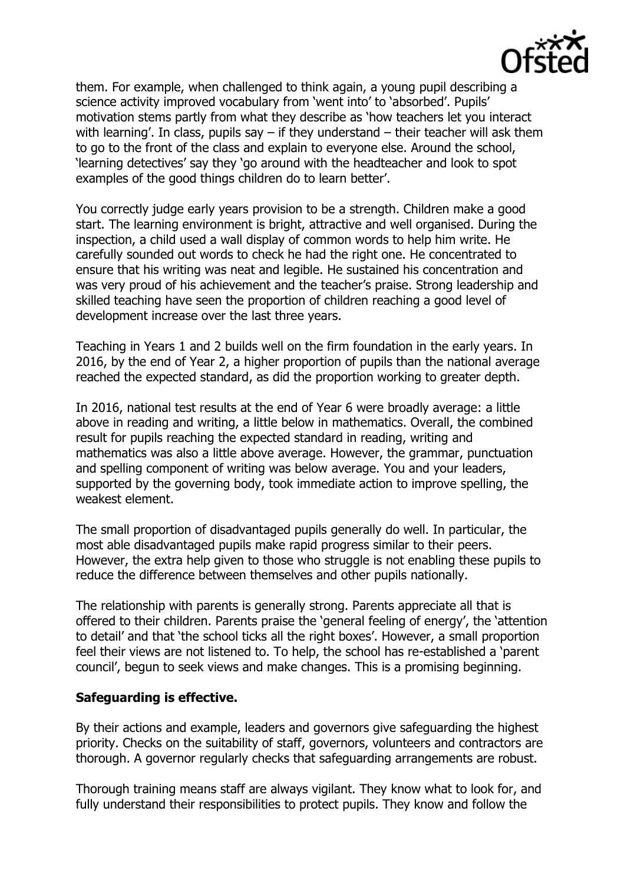

them. For example, when challenged to think again, a young pupil describing a science activity improved vocabulary from 'went into' to 'absorbed'. Pupils' motivation stems partly from what they describe as 'how teachers let you interact with learning'. In class, pupils say  $-$  if they understand  $-$  their teacher will ask them to go to the front of the class and explain to everyone else. Around the school, 'learning detectives' say they 'go around with the headteacher and look to spot examples of the good things children do to learn better'.

You correctly judge early years provision to be a strength. Children make a good start. The learning environment is bright, attractive and well organised. During the inspection, a child used a wall display of common words to help him write. He carefully sounded out words to check he had the right one. He concentrated to ensure that his writing was neat and legible. He sustained his concentration and was very proud of his achievement and the teacher's praise. Strong leadership and skilled teaching have seen the proportion of children reaching a good level of development increase over the last three years.

Teaching in Years 1 and 2 builds well on the firm foundation in the early years. In 2016, by the end of Year 2, a higher proportion of pupils than the national average reached the expected standard, as did the proportion working to greater depth.

In 2016, national test results at the end of Year 6 were broadly average: a little above in reading and writing, a little below in mathematics. Overall, the combined result for pupils reaching the expected standard in reading, writing and mathematics was also a little above average. However, the grammar, punctuation and spelling component of writing was below average. You and your leaders, supported by the governing body, took immediate action to improve spelling, the weakest element.

The small proportion of disadvantaged pupils generally do well. In particular, the most able disadvantaged pupils make rapid progress similar to their peers. However, the extra help given to those who struggle is not enabling these pupils to reduce the difference between themselves and other pupils nationally.

The relationship with parents is generally strong. Parents appreciate all that is offered to their children. Parents praise the 'general feeling of energy', the 'attention to detail' and that 'the school ticks all the right boxes'. However, a small proportion feel their views are not listened to. To help, the school has re-established a 'parent council', begun to seek views and make changes. This is a promising beginning.

## **Safeguarding is effective.**

By their actions and example, leaders and governors give safeguarding the highest priority. Checks on the suitability of staff, governors, volunteers and contractors are thorough. A governor regularly checks that safeguarding arrangements are robust.

Thorough training means staff are always vigilant. They know what to look for, and fully understand their responsibilities to protect pupils. They know and follow the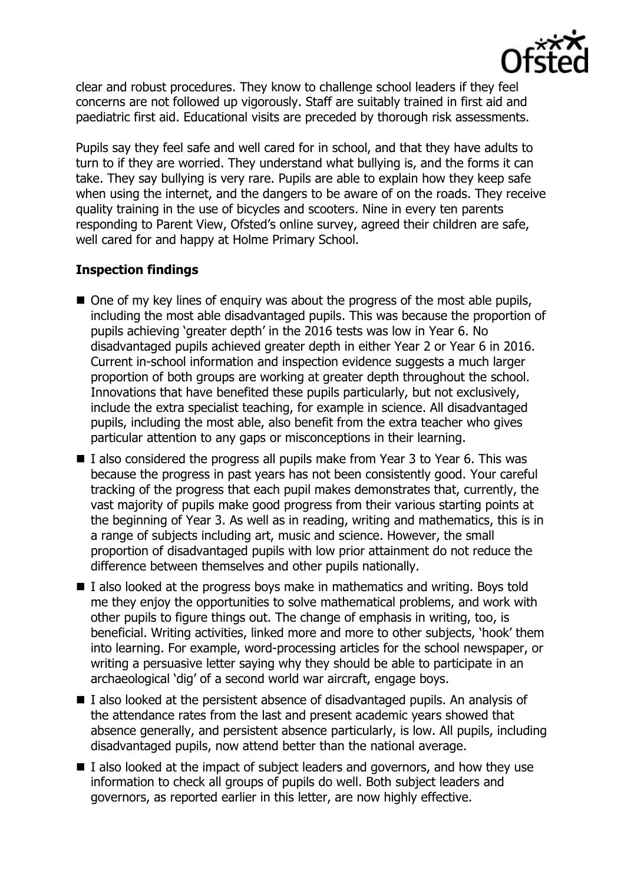

clear and robust procedures. They know to challenge school leaders if they feel concerns are not followed up vigorously. Staff are suitably trained in first aid and paediatric first aid. Educational visits are preceded by thorough risk assessments.

Pupils say they feel safe and well cared for in school, and that they have adults to turn to if they are worried. They understand what bullying is, and the forms it can take. They say bullying is very rare. Pupils are able to explain how they keep safe when using the internet, and the dangers to be aware of on the roads. They receive quality training in the use of bicycles and scooters. Nine in every ten parents responding to Parent View, Ofsted's online survey, agreed their children are safe, well cared for and happy at Holme Primary School.

# **Inspection findings**

- One of my key lines of enquiry was about the progress of the most able pupils, including the most able disadvantaged pupils. This was because the proportion of pupils achieving 'greater depth' in the 2016 tests was low in Year 6. No disadvantaged pupils achieved greater depth in either Year 2 or Year 6 in 2016. Current in-school information and inspection evidence suggests a much larger proportion of both groups are working at greater depth throughout the school. Innovations that have benefited these pupils particularly, but not exclusively, include the extra specialist teaching, for example in science. All disadvantaged pupils, including the most able, also benefit from the extra teacher who gives particular attention to any gaps or misconceptions in their learning.
- $\blacksquare$  I also considered the progress all pupils make from Year 3 to Year 6. This was because the progress in past years has not been consistently good. Your careful tracking of the progress that each pupil makes demonstrates that, currently, the vast majority of pupils make good progress from their various starting points at the beginning of Year 3. As well as in reading, writing and mathematics, this is in a range of subjects including art, music and science. However, the small proportion of disadvantaged pupils with low prior attainment do not reduce the difference between themselves and other pupils nationally.
- $\blacksquare$  I also looked at the progress boys make in mathematics and writing. Boys told me they enjoy the opportunities to solve mathematical problems, and work with other pupils to figure things out. The change of emphasis in writing, too, is beneficial. Writing activities, linked more and more to other subjects, 'hook' them into learning. For example, word-processing articles for the school newspaper, or writing a persuasive letter saying why they should be able to participate in an archaeological 'dig' of a second world war aircraft, engage boys.
- $\blacksquare$  I also looked at the persistent absence of disadvantaged pupils. An analysis of the attendance rates from the last and present academic years showed that absence generally, and persistent absence particularly, is low. All pupils, including disadvantaged pupils, now attend better than the national average.
- $\blacksquare$  I also looked at the impact of subject leaders and governors, and how they use information to check all groups of pupils do well. Both subject leaders and governors, as reported earlier in this letter, are now highly effective.